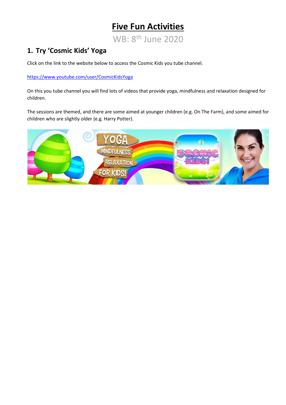# **Five Fun Activities**

WB: 8<sup>th</sup> June 2020

## **1. Try 'Cosmic Kids' Yoga**

Click on the link to the website below to access the Cosmic Kids you tube channel.

<https://www.youtube.com/user/CosmicKidsYoga>

On this you tube channel you will find lots of videos that provide yoga, mindfulness and relaxation designed for children.

The sessions are themed, and there are some aimed at younger children (e.g. On The Farm), and some aimed for children who are slightly older (e.g. Harry Potter).

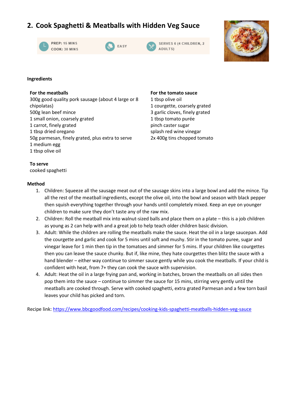### **2. Cook Spaghetti & Meatballs with Hidden Veg Sauce**









#### **Ingredients**

#### **For the meatballs**

300g good quality pork sausage (about 4 large or 8 chipolatas) 500g lean beef mince 1 small onion, coarsely grated 1 carrot, finely grated 1 tbsp dried oregano 50g parmesan, finely grated, plus extra to serve 1 medium egg 1 tbsp olive oil

#### **For the tomato sauce**

1 tbsp olive oil 1 courgette, coarsely grated 3 garlic cloves, finely grated 1 tbsp tomato purée pinch caster sugar splash red wine vinegar 2x 400g tins chopped tomato

#### **To serve**

cooked spaghetti

#### **Method**

- 1. Children: Squeeze all the sausage meat out of the sausage skins into a large bowl and add the mince. Tip all the rest of the meatball ingredients, except the olive oil, into the bowl and season with black pepper then squish everything together through your hands until completely mixed. Keep an eye on younger children to make sure they don't taste any of the raw mix.
- 2. Children: Roll the meatball mix into walnut-sized balls and place them on a plate this is a job children as young as 2 can help with and a great job to help teach older children basic division.
- 3. Adult: While the children are rolling the meatballs make the sauce. Heat the oil in a large saucepan. Add the courgette and garlic and cook for 5 mins until soft and mushy. Stir in the tomato puree, sugar and vinegar leave for 1 min then tip in the tomatoes and simmer for 5 mins. If your children like courgettes then you can leave the sauce chunky. But if, like mine, they hate courgettes then blitz the sauce with a hand blender – either way continue to simmer sauce gently while you cook the meatballs. If your child is confident with heat, from 7+ they can cook the sauce with supervision.
- 4. Adult: Heat the oil in a large frying pan and, working in batches, brown the meatballs on all sides then pop them into the sauce – continue to simmer the sauce for 15 mins, stirring very gently until the meatballs are cooked through. Serve with cooked spaghetti, extra grated Parmesan and a few torn basil leaves your child has picked and torn.

Recipe link:<https://www.bbcgoodfood.com/recipes/cooking-kids-spaghetti-meatballs-hidden-veg-sauce>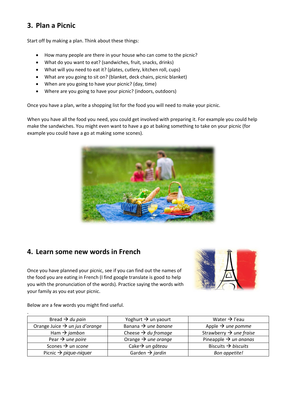### **3. Plan a Picnic**

Start off by making a plan. Think about these things:

- How many people are there in your house who can come to the picnic?
- What do you want to eat? (sandwiches, fruit, snacks, drinks)
- What will you need to eat it? (plates, cutlery, kitchen roll, cups)
- What are you going to sit on? (blanket, deck chairs, picnic blanket)
- When are you going to have your picnic? (day, time)
- Where are you going to have your picnic? (indoors, outdoors)

Once you have a plan, write a shopping list for the food you will need to make your picnic.

When you have all the food you need, you could get involved with preparing it. For example you could help make the sandwiches. You might even want to have a go at baking something to take on your picnic (for example you could have a go at making some scones).



### **4. Learn some new words in French**

Once you have planned your picnic, see if you can find out the names of the food you are eating in French (I find google translate is good to help you with the pronunciation of the words). Practice saying the words with your family as you eat your picnic.



Below are a few words you might find useful.

.

| Bread $\rightarrow$ du pain                | Yoghurt $\rightarrow$ un yaourt | Water $\rightarrow$ l'eau           |
|--------------------------------------------|---------------------------------|-------------------------------------|
| Orange Juice $\rightarrow$ un jus d'orange | Banana $\rightarrow$ une banane | Apple $\rightarrow$ une pomme       |
| Ham $\rightarrow$ jambon                   | Cheese $\rightarrow$ du fromage | Strawberry $\rightarrow$ une fraise |
| Pear $\rightarrow$ une poire               | Orange $\rightarrow$ une orange | Pineapple $\rightarrow$ un ananas   |
| Scones $\rightarrow$ un scone              | Cake $\rightarrow$ un gâteau    | Biscuits $\rightarrow$ biscuits     |
| Picnic $\rightarrow$ pique-niquer          | Garden $\rightarrow$ jardin     | Bon appetite!                       |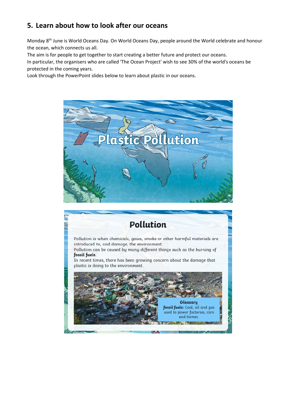### **5. Learn about how to look after our oceans**

Monday 8th June is World Oceans Day. On World Oceans Day, people around the World celebrate and honour the ocean, which connects us all.

The aim is for people to get together to start creating a better future and protect our oceans.

In particular, the organisers who are called 'The Ocean Project' wish to see 30% of the world's oceans be protected in the coming years.

Look through the PowerPoint slides below to learn about plastic in our oceans.



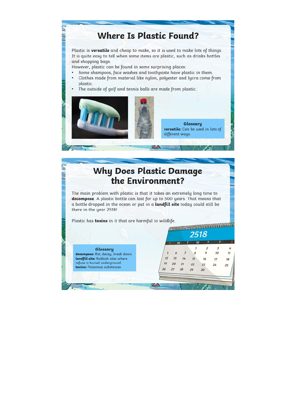